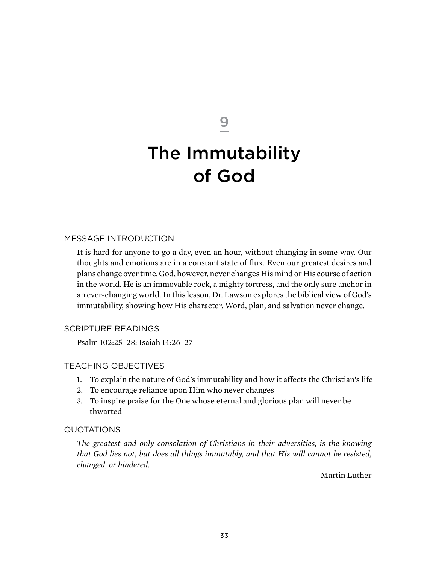9

# The Immutability of God

## Message Introduction

It is hard for anyone to go a day, even an hour, without changing in some way. Our thoughts and emotions are in a constant state of flux. Even our greatest desires and plans change over time. God, however, never changes His mind or His course of action in the world. He is an immovable rock, a mighty fortress, and the only sure anchor in an ever-changing world. In this lesson, Dr. Lawson explores the biblical view of God's immutability, showing how His character, Word, plan, and salvation never change.

### Scripture Readings

Psalm 102:25–28; Isaiah 14:26–27

### Teaching Objectives

- 1. To explain the nature of God's immutability and how it affects the Christian's life
- 2. To encourage reliance upon Him who never changes
- 3. To inspire praise for the One whose eternal and glorious plan will never be thwarted

### **QUOTATIONS**

*The greatest and only consolation of Christians in their adversities, is the knowing that God lies not, but does all things immutably, and that His will cannot be resisted, changed, or hindered.*

—Martin Luther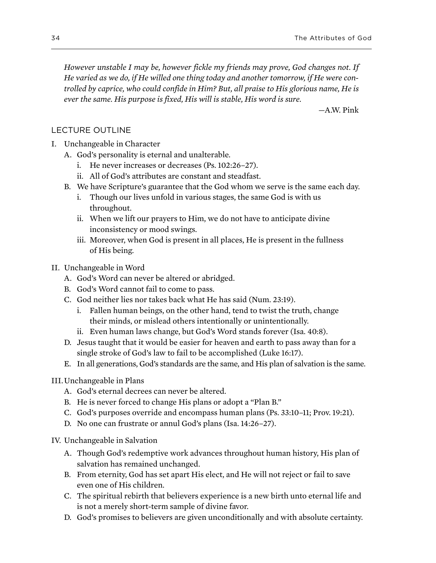*However unstable I may be, however fickle my friends may prove, God changes not. If He varied as we do, if He willed one thing today and another tomorrow, if He were controlled by caprice, who could confide in Him? But, all praise to His glorious name, He is ever the same. His purpose is fixed, His will is stable, His word is sure.*

—A.W. Pink

## Lecture Outline

- I. Unchangeable in Character
	- a. God's personality is eternal and unalterable.
		- i. He never increases or decreases (Ps. 102:26–27).
		- ii. All of God's attributes are constant and steadfast.
	- b. We have Scripture's guarantee that the God whom we serve is the same each day.
		- i. Though our lives unfold in various stages, the same God is with us throughout.
		- ii. When we lift our prayers to Him, we do not have to anticipate divine inconsistency or mood swings.
		- iii. Moreover, when God is present in all places, He is present in the fullness of His being.
- II. Unchangeable in Word
	- A. God's Word can never be altered or abridged.
	- b. God's Word cannot fail to come to pass.
	- c. God neither lies nor takes back what He has said (Num. 23:19).
		- i. Fallen human beings, on the other hand, tend to twist the truth, change their minds, or mislead others intentionally or unintentionally.
		- ii. Even human laws change, but God's Word stands forever (Isa. 40:8).
	- D. Jesus taught that it would be easier for heaven and earth to pass away than for a single stroke of God's law to fail to be accomplished (Luke 16:17).
	- e. In all generations, God's standards are the same, and His plan of salvation is the same.

### III.Unchangeable in Plans

- A. God's eternal decrees can never be altered.
- b. He is never forced to change His plans or adopt a "Plan B."
- c. God's purposes override and encompass human plans (Ps. 33:10–11; Prov. 19:21).
- D. No one can frustrate or annul God's plans (Isa. 14:26–27).
- IV. Unchangeable in Salvation
	- a. Though God's redemptive work advances throughout human history, His plan of salvation has remained unchanged.
	- b. From eternity, God has set apart His elect, and He will not reject or fail to save even one of His children.
	- c. The spiritual rebirth that believers experience is a new birth unto eternal life and is not a merely short-term sample of divine favor.
	- D. God's promises to believers are given unconditionally and with absolute certainty.